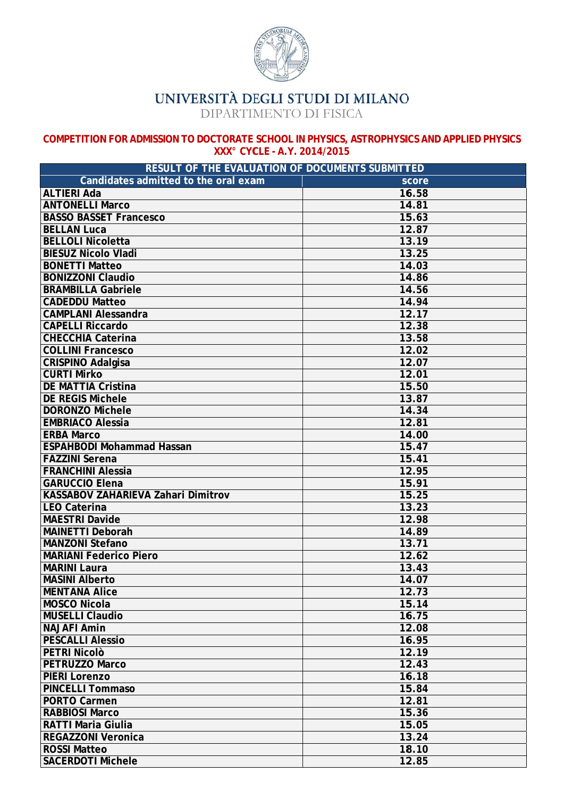

# UNIVERSITÀ DEGLI STUDI DI MILANO

DIPARTIMENTO DI FISICA

#### COMPETITION FOR ADMISSION TO DOCTORATE SCHOOL IN PHYSICS, ASTROPHYSICS AND APPLIED PHYSICS XXX° CYCLE - A.Y. 2014/2015

| RESULT OF THE EVALUATION OF DOCUMENTS SUBMITTED |       |
|-------------------------------------------------|-------|
| Candidates admitted to the oral exam            | score |
| <b>ALTIERI Ada</b>                              | 16.58 |
| <b>ANTONELLI Marco</b>                          | 14.81 |
| <b>BASSO BASSET Francesco</b>                   | 15.63 |
| <b>BELLAN Luca</b>                              | 12.87 |
| <b>BELLOLI Nicoletta</b>                        | 13.19 |
| <b>BIESUZ Nicolo Vladi</b>                      | 13.25 |
| <b>BONETTI Matteo</b>                           | 14.03 |
| <b>BONIZZONI Claudio</b>                        | 14.86 |
| <b>BRAMBILLA Gabriele</b>                       | 14.56 |
| <b>CADEDDU Matteo</b>                           | 14.94 |
| <b>CAMPLANI Alessandra</b>                      | 12.17 |
| <b>CAPELLI Riccardo</b>                         | 12.38 |
| <b>CHECCHIA Caterina</b>                        | 13.58 |
| <b>COLLINI Francesco</b>                        | 12.02 |
| <b>CRISPINO Adalgisa</b>                        | 12.07 |
| <b>CURTI Mirko</b>                              | 12.01 |
| DE MATTIA Cristina                              | 15.50 |
| <b>DE REGIS Michele</b>                         | 13.87 |
| <b>DORONZO Michele</b>                          | 14.34 |
| <b>EMBRIACO Alessia</b>                         | 12.81 |
| <b>ERBA Marco</b>                               | 14.00 |
| <b>ESPAHBODI Mohammad Hassan</b>                | 15.47 |
| <b>FAZZINI Serena</b>                           | 15.41 |
| <b>FRANCHINI Alessia</b>                        | 12.95 |
| <b>GARUCCIO Elena</b>                           | 15.91 |
| KASSABOV ZAHARIEVA Zahari Dimitrov              | 15.25 |
| <b>LEO Caterina</b>                             | 13.23 |
| <b>MAESTRI Davide</b>                           | 12.98 |
| <b>MAINETTI Deborah</b>                         | 14.89 |
| <b>MANZONI Stefano</b>                          | 13.71 |
| <b>MARIANI Federico Piero</b>                   | 12.62 |
| <b>MARINI Laura</b>                             | 13.43 |
| <b>MASINI Alberto</b>                           | 14.07 |
| <b>MENTANA Alice</b>                            | 12.73 |
| <b>MOSCO Nicola</b>                             | 15.14 |
| <b>MUSELLI Claudio</b>                          | 16.75 |
| <b>NAJAFI Amin</b>                              | 12.08 |
| <b>PESCALLI Alessio</b>                         | 16.95 |
| PETRI Nicolò                                    | 12.19 |
| <b>PETRUZZO Marco</b>                           | 12.43 |
| <b>PIERI Lorenzo</b>                            | 16.18 |
| <b>PINCELLI Tommaso</b>                         | 15.84 |
| <b>PORTO Carmen</b>                             | 12.81 |
| <b>RABBIOSI Marco</b>                           | 15.36 |
| <b>RATTI Maria Giulia</b>                       | 15.05 |
| <b>REGAZZONI Veronica</b>                       | 13.24 |
| <b>ROSSI Matteo</b>                             | 18.10 |
| <b>SACERDOTI Michele</b>                        | 12.85 |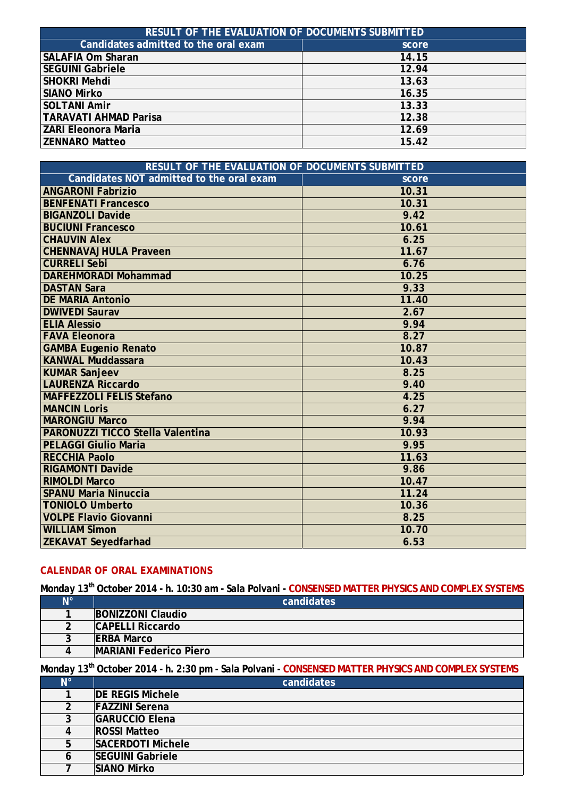| RESULT OF THE EVALUATION OF DOCUMENTS SUBMITTED |       |
|-------------------------------------------------|-------|
| Candidates admitted to the oral exam            | score |
| <b>SALAFIA Om Sharan</b>                        | 14.15 |
| <b>SEGUINI Gabriele</b>                         | 12.94 |
| <b>SHOKRI Mehdi</b>                             | 13.63 |
| <b>SIANO Mirko</b>                              | 16.35 |
| <b>SOLTANI Amir</b>                             | 13.33 |
| <b>TARAVATI AHMAD Parisa</b>                    | 12.38 |
| <b>ZARI Eleonora Maria</b>                      | 12.69 |
| <b>ZENNARO Matteo</b>                           | 15.42 |

| RESULT OF THE EVALUATION OF DOCUMENTS SUBMITTED |       |
|-------------------------------------------------|-------|
| Candidates NOT admitted to the oral exam        | score |
| <b>ANGARONI Fabrizio</b>                        | 10.31 |
| <b>BENFENATI Francesco</b>                      | 10.31 |
| <b>BIGANZOLI Davide</b>                         | 9.42  |
| <b>BUCIUNI Francesco</b>                        | 10.61 |
| <b>CHAUVIN Alex</b>                             | 6.25  |
| <b>CHENNAVAJHULA Praveen</b>                    | 11.67 |
| <b>CURRELI Sebi</b>                             | 6.76  |
| <b>DAREHMORADI Mohammad</b>                     | 10.25 |
| <b>DASTAN Sara</b>                              | 9.33  |
| <b>DE MARIA Antonio</b>                         | 11.40 |
| <b>DWIVEDI Saurav</b>                           | 2.67  |
| <b>ELIA Alessio</b>                             | 9.94  |
| <b>FAVA Eleonora</b>                            | 8.27  |
| <b>GAMBA Eugenio Renato</b>                     | 10.87 |
| <b>KANWAL Muddassara</b>                        | 10.43 |
| <b>KUMAR Sanjeev</b>                            | 8.25  |
| <b>LAURENZA Riccardo</b>                        | 9.40  |
| <b>MAFFEZZOLI FELIS Stefano</b>                 | 4.25  |
| <b>MANCIN Loris</b>                             | 6.27  |
| <b>MARONGIU Marco</b>                           | 9.94  |
| <b>PARONUZZI TICCO Stella Valentina</b>         | 10.93 |
| <b>PELAGGI Giulio Maria</b>                     | 9.95  |
| <b>RECCHIA Paolo</b>                            | 11.63 |
| <b>RIGAMONTI Davide</b>                         | 9.86  |
| <b>RIMOLDI Marco</b>                            | 10.47 |
| <b>SPANU Maria Ninuccia</b>                     | 11.24 |
| <b>TONIOLO Umberto</b>                          | 10.36 |
| <b>VOLPE Flavio Giovanni</b>                    | 8.25  |
| <b>WILLIAM Simon</b>                            | 10.70 |
| <b>ZEKAVAT Seyedfarhad</b>                      | 6.53  |

### **CALENDAR OF ORAL EXAMINATIONS**

# *Monday 13th October 2014 - h. 10:30 am - Sala Polvani -* **CONSENSED MATTER PHYSICS AND COMPLEX SYSTEMS**

| N° | candidates                    |
|----|-------------------------------|
|    | <b>BONIZZONI Claudio</b>      |
| ົ  | <b>CAPELLI Riccardo</b>       |
| 3  | <b>IERBA Marco</b>            |
|    | <b>MARIANI Federico Piero</b> |

*Monday 13th October 2014 - h. 2:30 pm - Sala Polvani -* **CONSENSED MATTER PHYSICS AND COMPLEX SYSTEMS**

| $N^{\circ}$    | candidates               |
|----------------|--------------------------|
|                | <b>DE REGIS Michele</b>  |
| $\overline{2}$ | <b>FAZZINI Serena</b>    |
| 3              | <b>GARUCCIO Elena</b>    |
| 4              | <b>ROSSI Matteo</b>      |
| 5              | <b>SACERDOTI Michele</b> |
| 6              | <b>SEGUINI Gabriele</b>  |
|                | <b>SIANO Mirko</b>       |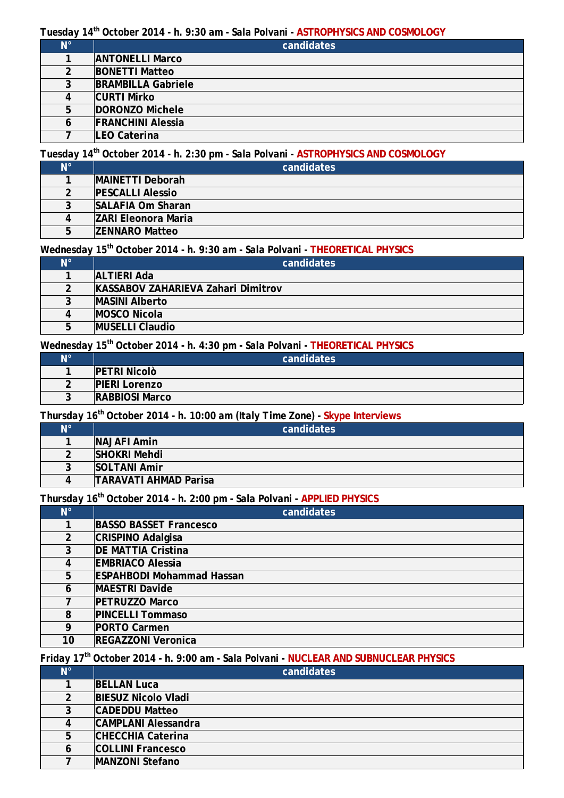### *Tuesday 14th October 2014 - h. 9:30 am - Sala Polvani -* **ASTROPHYSICS AND COSMOLOGY**

| $\mathsf{N}^\circ$ | candidates                |
|--------------------|---------------------------|
|                    | <b>ANTONELLI Marco</b>    |
| $\mathfrak{D}$     | <b>BONETTI Matteo</b>     |
| 3                  | <b>BRAMBILLA Gabriele</b> |
| 4                  | <b>CURTI Mirko</b>        |
| 5                  | DORONZO Michele           |
| 6                  | <b>FRANCHINI Alessia</b>  |
|                    | LEO Caterina              |

#### *Tuesday 14th October 2014 - h. 2:30 pm - Sala Polvani -* **ASTROPHYSICS AND COSMOLOGY**

| $N^{\circ}$ | candidates                 |
|-------------|----------------------------|
|             | MAINETTI Deborah           |
| າ           | <b>PESCALLI Alessio</b>    |
| 3           | <b>SALAFIA Om Sharan</b>   |
| 4           | <b>ZARI Eleonora Maria</b> |
| 5           | <b>ZENNARO Matteo</b>      |

#### *Wednesday 15th October 2014 - h. 9:30 am - Sala Polvani -* **THEORETICAL PHYSICS**

| N°             | candidates                         |
|----------------|------------------------------------|
|                | <b>ALTIERI Ada</b>                 |
| $\overline{2}$ | KASSABOV ZAHARIEVA Zahari Dimitrov |
| 3              | <b>MASINI Alberto</b>              |
|                | <b>MOSCO Nicola</b>                |
| 5              | <b>MUSELLI Claudio</b>             |

#### *Wednesday 15th October 2014 - h. 4:30 pm - Sala Polvani -* **THEORETICAL PHYSICS**

| N۱° | candidates            |
|-----|-----------------------|
|     | <b>PETRI Nicolò</b>   |
| ⌒   | <b>PIERI Lorenzo</b>  |
|     | <b>RABBIOSI Marco</b> |

#### *Thursday 16th October 2014 - h. 10:00 am (Italy Time Zone) -* **Skype Interviews**

| N° | candidates                   |
|----|------------------------------|
|    | <b>NAJAFI Amin</b>           |
| ົ  | <b>SHOKRI Mehdi</b>          |
| ◠  | <b>SOLTANI Amir</b>          |
| Δ  | <b>TARAVATI AHMAD Parisa</b> |

# *Thursday 16th October 2014 - h. 2:00 pm - Sala Polvani -* **APPLIED PHYSICS**

| $N^{\circ}$ | candidates                       |
|-------------|----------------------------------|
|             | <b>BASSO BASSET Francesco</b>    |
| 2           | <b>CRISPINO Adalgisa</b>         |
| 3           | <b>DE MATTIA Cristina</b>        |
| 4           | <b>EMBRIACO Alessia</b>          |
| 5           | <b>ESPAHBODI Mohammad Hassan</b> |
| 6           | <b>MAESTRI Davide</b>            |
|             | <b>PETRUZZO Marco</b>            |
| 8           | <b>PINCELLI Tommaso</b>          |
| 9           | <b>PORTO Carmen</b>              |
| 10          | <b>REGAZZONI Veronica</b>        |

#### *Friday 17th October 2014 - h. 9:00 am - Sala Polvani -* **NUCLEAR AND SUBNUCLEAR PHYSICS**

| $N^{\circ}$   | candidates                 |
|---------------|----------------------------|
|               | <b>BELLAN Luca</b>         |
| $\mathcal{P}$ | <b>BIESUZ Nicolo Vladi</b> |
| 3             | <b>CADEDDU Matteo</b>      |
| 4             | <b>CAMPLANI Alessandra</b> |
| 5             | <b>CHECCHIA Caterina</b>   |
| 6             | <b>COLLINI Francesco</b>   |
|               | <b>MANZONI Stefano</b>     |